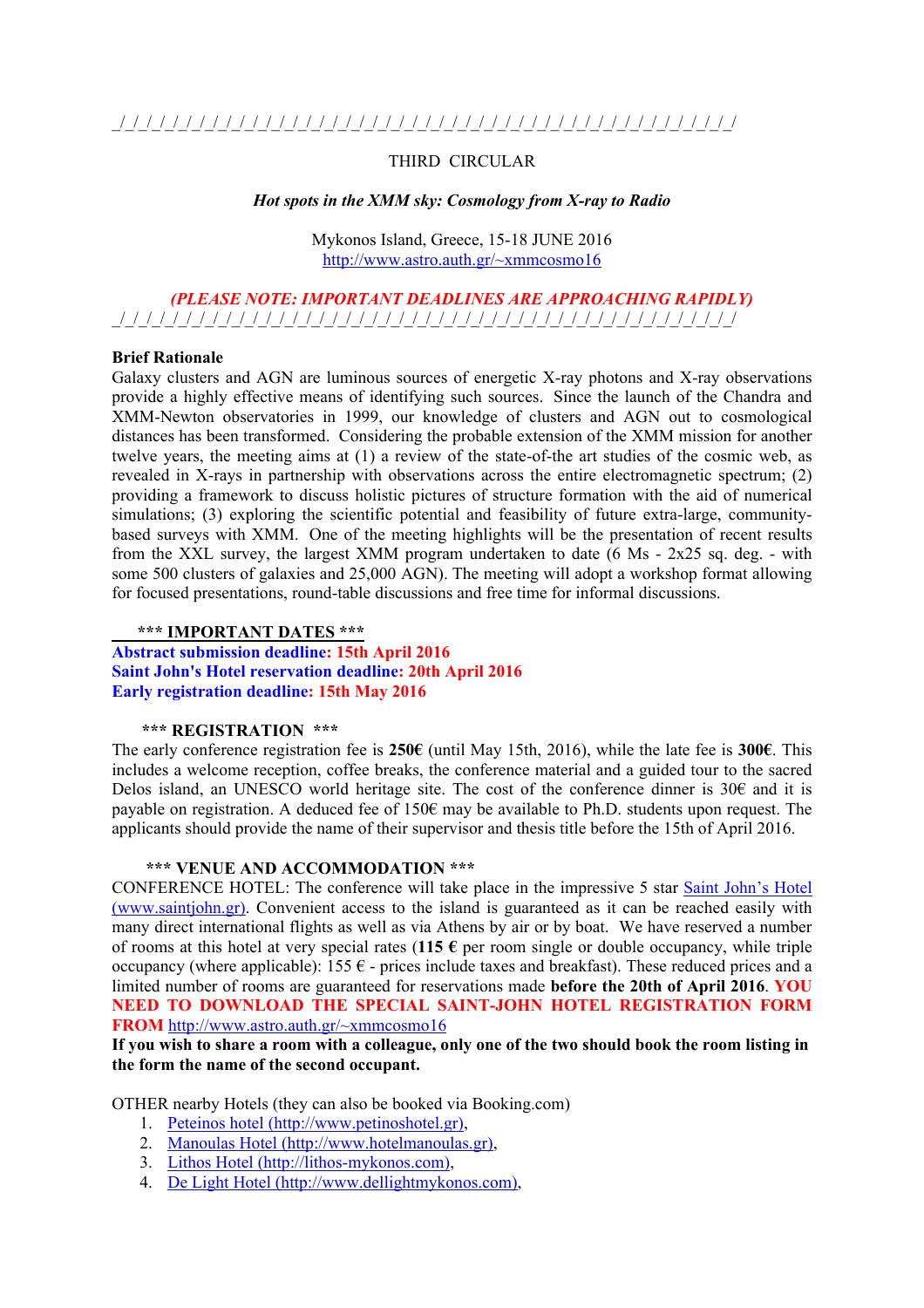# THIRD CIRCULAR

#### *Hot spots in the XMM sky: Cosmology from X-ray to Radio*

Mykonos Island, Greece, 15-18 JUNE 2016 http://www.astro.auth.gr/~xmmcosmo16

# *(PLEASE NOTE: IMPORTANT DEADLINES ARE APPROACHING RAPIDLY)* \_/\_/\_/\_/\_/\_/\_/\_/\_/\_/\_/\_/\_/\_/\_/\_/\_/\_/\_/\_/\_/\_/\_/\_/\_/\_/\_/\_/\_/\_/\_/\_/\_/\_/\_/\_/\_/\_/\_/\_/\_/\_/\_/\_/\_/\_/\_/

#### **Brief Rationale**

Galaxy clusters and AGN are luminous sources of energetic X-ray photons and X-ray observations provide a highly effective means of identifying such sources. Since the launch of the Chandra and XMM-Newton observatories in 1999, our knowledge of clusters and AGN out to cosmological distances has been transformed. Considering the probable extension of the XMM mission for another twelve years, the meeting aims at (1) a review of the state-of-the art studies of the cosmic web, as revealed in X-rays in partnership with observations across the entire electromagnetic spectrum; (2) providing a framework to discuss holistic pictures of structure formation with the aid of numerical simulations; (3) exploring the scientific potential and feasibility of future extra-large, communitybased surveys with XMM. One of the meeting highlights will be the presentation of recent results from the XXL survey, the largest XMM program undertaken to date  $(6 \text{ Ms} - 2x25 \text{ sa} \text{ deg.} - \text{ with}$ some 500 clusters of galaxies and 25,000 AGN). The meeting will adopt a workshop format allowing for focused presentations, round-table discussions and free time for informal discussions.

#### **\*\*\* IMPORTANT DATES \*\*\***

**Abstract submission deadline: 15th April 2016 Saint John's Hotel reservation deadline: 20th April 2016 Early registration deadline: 15th May 2016**

#### **\*\*\* REGISTRATION \*\*\***

The early conference registration fee is **250€** (until May 15th, 2016), while the late fee is **300€**. This includes a welcome reception, coffee breaks, the conference material and a guided tour to the sacred Delos island, an UNESCO world heritage site. The cost of the conference dinner is  $30\epsilon$  and it is payable on registration. A deduced fee of 150€ may be available to Ph.D. students upon request. The applicants should provide the name of their supervisor and thesis title before the 15th of April 2016.

# **\*\*\* VENUE AND ACCOMMODATION \*\*\***

CONFERENCE HOTEL: The conference will take place in the impressive 5 star Saint John's Hotel (www.saintjohn.gr). Convenient access to the island is guaranteed as it can be reached easily with many direct international flights as well as via Athens by air or by boat. We have reserved a number of rooms at this hotel at very special rates (**115 €** per room single or double occupancy, while triple occupancy (where applicable):  $155 \epsilon$  - prices include taxes and breakfast). These reduced prices and a limited number of rooms are guaranteed for reservations made **before the 20th of April 2016**. **YOU NEED TO DOWNLOAD THE SPECIAL SAINT-JOHN HOTEL REGISTRATION FORM FROM** http://www.astro.auth.gr/~xmmcosmo16

**If you wish to share a room with a colleague, only one of the two should book the room listing in the form the name of the second occupant.**

OTHER nearby Hotels (they can also be booked via Booking.com)

- 1. Peteinos hotel (http://www.petinoshotel.gr),
- 2. Manoulas Hotel (http://www.hotelmanoulas.gr),
- 3. Lithos Hotel (http://lithos-mykonos.com),
- 4. De Light Hotel (http://www.dellightmykonos.com),